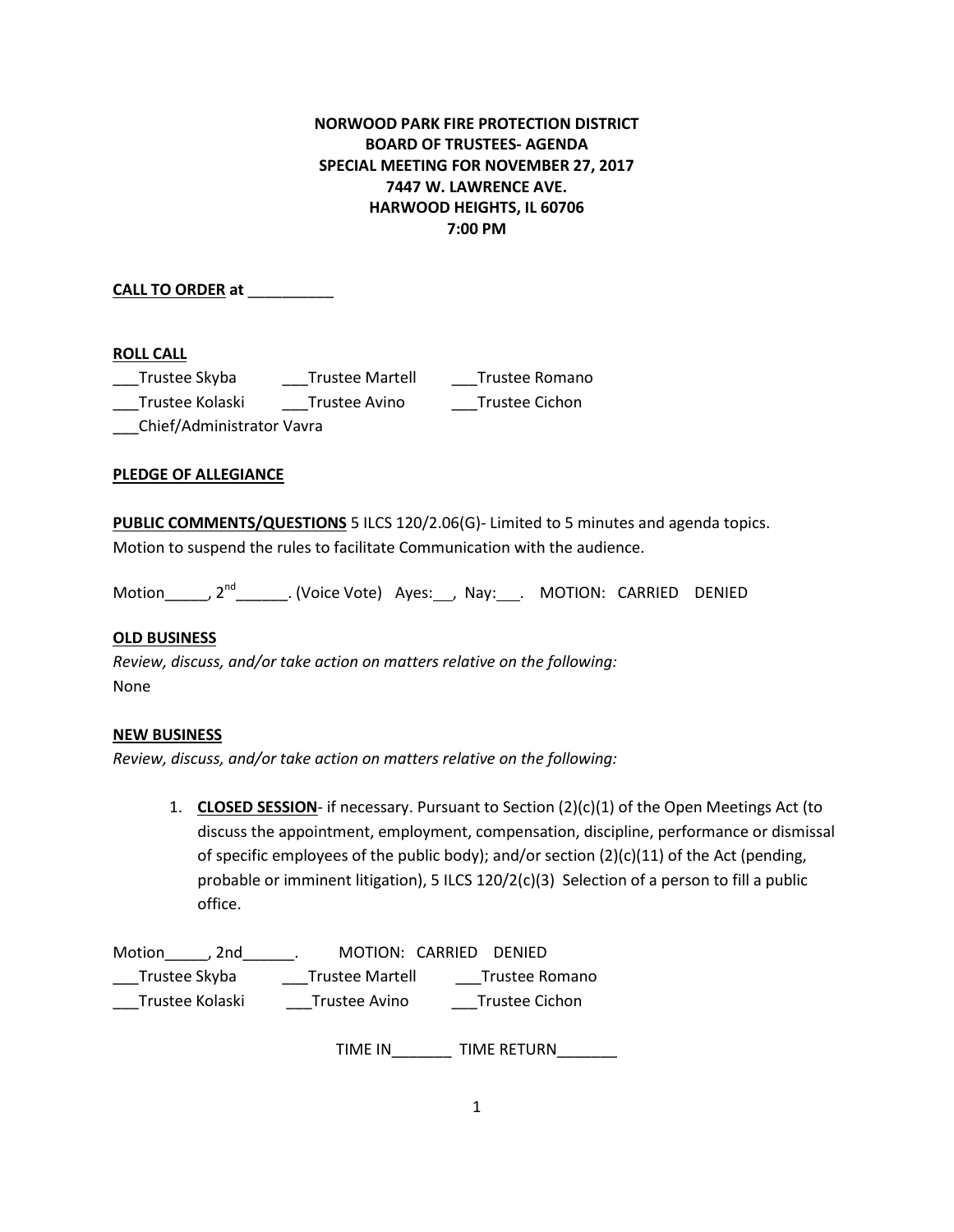# **NORWOOD PARK FIRE PROTECTION DISTRICT BOARD OF TRUSTEES- AGENDA SPECIAL MEETING FOR NOVEMBER 27, 2017 7447 W. LAWRENCE AVE. HARWOOD HEIGHTS, IL 60706 7:00 PM**

**CALL TO ORDER at** \_\_\_\_\_\_\_\_\_\_

## **ROLL CALL**

| Trustee Skyba             | <b>Trustee Martell</b> | Trustee Romano |
|---------------------------|------------------------|----------------|
| Trustee Kolaski           | Trustee Avino          | Trustee Cichon |
| Chief/Administrator Vavra |                        |                |

### **PLEDGE OF ALLEGIANCE**

**PUBLIC COMMENTS/QUESTIONS** 5 ILCS 120/2.06(G)- Limited to 5 minutes and agenda topics. Motion to suspend the rules to facilitate Communication with the audience.

Motion\_\_\_\_\_\_, 2<sup>nd</sup>\_\_\_\_\_\_\_\_. (Voice Vote) Ayes:\_\_\_, Nay:\_\_\_\_. MOTION: CARRIED DENIED

### **OLD BUSINESS**

*Review, discuss, and/or take action on matters relative on the following:* None

#### **NEW BUSINESS**

*Review, discuss, and/or take action on matters relative on the following:*

1. **CLOSED SESSION**- if necessary. Pursuant to Section (2)(c)(1) of the Open Meetings Act (to discuss the appointment, employment, compensation, discipline, performance or dismissal of specific employees of the public body); and/or section  $(2)(c)(11)$  of the Act (pending, probable or imminent litigation), 5 ILCS 120/2(c)(3) Selection of a person to fill a public office.

| Motion<br>. 2nd | MOTION: CARRIED DENIED |                |
|-----------------|------------------------|----------------|
| Trustee Skyba   | <b>Trustee Martell</b> | Trustee Romano |
| Trustee Kolaski | Trustee Avino          | Trustee Cichon |

TIME IN TIME RETURN